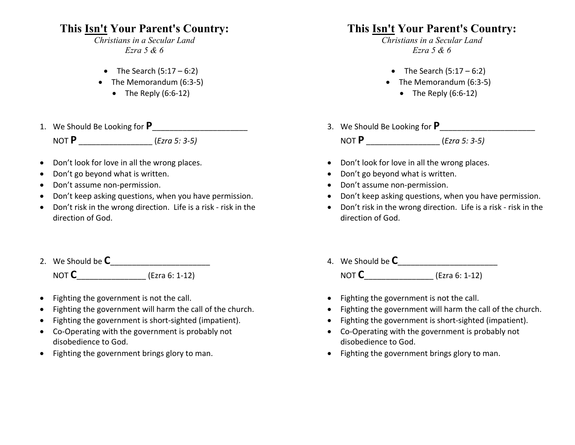## **This Isn't Your Parent's Country:**

*Christians in a Secular Land Ezra 5 & 6*

- The Search  $(5:17 6:2)$
- The Memorandum (6:3-5)
	- The Reply  $(6:6-12)$
- 1. We Should Be Looking for **P**\_\_\_\_\_\_\_\_\_\_\_\_\_\_\_\_\_\_\_\_\_\_ NOT **P** \_\_\_\_\_\_\_\_\_\_\_\_\_\_\_\_\_ (*Ezra 5: 3-5)*
- Don't look for love in all the wrong places.
- Don't go beyond what is written.
- Don't assume non-permission.
- Don't keep asking questions, when you have permission.
- Don't risk in the wrong direction. Life is a risk risk in the direction of God.
- 2. We Should be **C**\_\_\_\_\_\_\_\_\_\_\_\_\_\_\_\_\_\_\_\_\_\_\_ NOT **C**\_\_\_\_\_\_\_\_\_\_\_\_\_\_\_\_ (Ezra 6: 1-12)
- Fighting the government is not the call.
- Fighting the government will harm the call of the church.
- Fighting the government is short-sighted (impatient).
- Co-Operating with the government is probably not disobedience to God.
- Fighting the government brings glory to man.